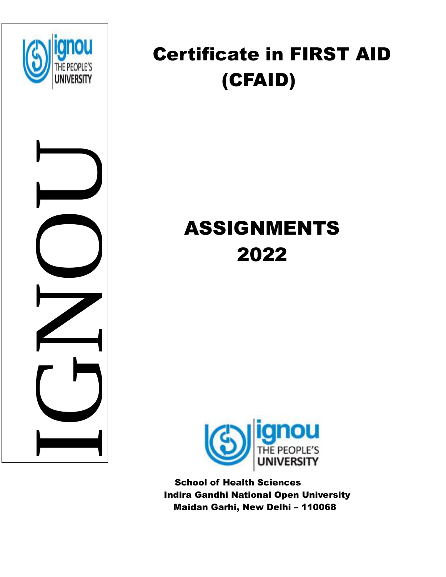

NUMBER<br>IGNO

## Certificate in FIRST AID (CFAID)

# ASSIGNMENTS 2022



 School of Health Sciences Indira Gandhi National Open University Maidan Garhi, New Delhi – 110068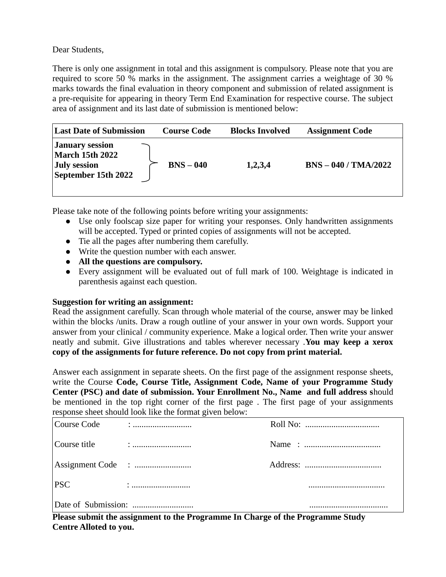Dear Students,

There is only one assignment in total and this assignment is compulsory. Please note that you are required to score 50 % marks in the assignment. The assignment carries a weightage of 30 % marks towards the final evaluation in theory component and submission of related assignment is a pre-requisite for appearing in theory Term End Examination for respective course. The subject area of assignment and its last date of submission is mentioned below:

| <b>Last Date of Submission</b>                                                                 | <b>Course Code</b> | <b>Blocks Involved</b> | <b>Assignment Code</b> |
|------------------------------------------------------------------------------------------------|--------------------|------------------------|------------------------|
| <b>January session</b><br><b>March 15th 2022</b><br><b>July session</b><br>September 15th 2022 | $BNS - 040$        | 1,2,3,4                | $BNS - 040 / TMA/2022$ |

Please take note of the following points before writing your assignments:

- Use only foolscap size paper for writing your responses. Only handwritten assignments will be accepted. Typed or printed copies of assignments will not be accepted.
- Tie all the pages after numbering them carefully.
- Write the question number with each answer.
- **All the questions are compulsory.**
- Every assignment will be evaluated out of full mark of 100. Weightage is indicated in parenthesis against each question.

### **Suggestion for writing an assignment:**

Read the assignment carefully. Scan through whole material of the course, answer may be linked within the blocks /units. Draw a rough outline of your answer in your own words. Support your answer from your clinical / community experience. Make a logical order. Then write your answer neatly and submit. Give illustrations and tables wherever necessary .**You may keep a xerox copy of the assignments for future reference. Do not copy from print material.**

Answer each assignment in separate sheets. On the first page of the assignment response sheets, write the Course **Code, Course Title, Assignment Code, Name of your Programme Study Center (PSC) and date of submission. Your Enrollment No., Name and full address s**hould be mentioned in the top right corner of the first page . The first page of your assignments response sheet should look like the format given below:

| Course Code  |  |
|--------------|--|
| Course title |  |
|              |  |
| <b>PSC</b>   |  |
|              |  |

**Please submit the assignment to the Programme In Charge of the Programme Study Centre Alloted to you.**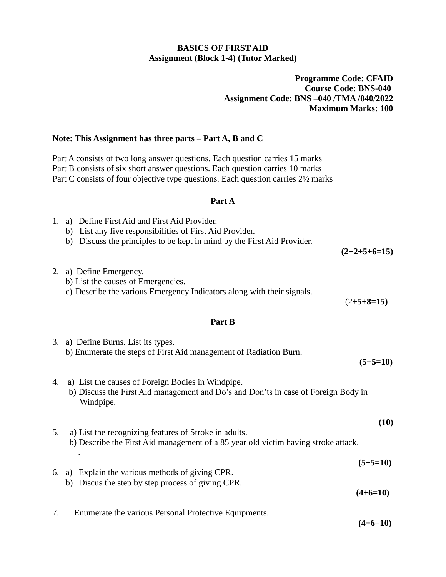#### **BASICS OF FIRST AID Assignment (Block 1-4) (Tutor Marked)**

#### **Programme Code: CFAID Course Code: BNS-040 Assignment Code: BNS –040 /TMA /040/2022 Maximum Marks: 100**

#### **Note: This Assignment has three parts – Part A, B and C**

Part A consists of two long answer questions. Each question carries 15 marks Part B consists of six short answer questions. Each question carries 10 marks Part C consists of four objective type questions. Each question carries  $2\frac{1}{2}$  marks

#### **Part A**

| 1. | a) Define First Aid and First Aid Provider.<br>b) List any five responsibilities of First Aid Provider.<br>Discuss the principles to be kept in mind by the First Aid Provider.<br>b) | $(2+2+5+6=15)$           |
|----|---------------------------------------------------------------------------------------------------------------------------------------------------------------------------------------|--------------------------|
|    | 2. a) Define Emergency.<br>b) List the causes of Emergencies.<br>c) Describe the various Emergency Indicators along with their signals.                                               | $(2+5+8=15)$             |
|    | Part B                                                                                                                                                                                |                          |
|    | 3. a) Define Burns. List its types.<br>b) Enumerate the steps of First Aid management of Radiation Burn.                                                                              | $(5+5=10)$               |
| 4. | a) List the causes of Foreign Bodies in Windpipe.<br>b) Discuss the First Aid management and Do's and Don'ts in case of Foreign Body in<br>Windpipe.                                  |                          |
| 5. | a) List the recognizing features of Stroke in adults.<br>b) Describe the First Aid management of a 85 year old victim having stroke attack.                                           | (10)                     |
|    | 6. a) Explain the various methods of giving CPR.<br>b) Discus the step by step process of giving CPR.                                                                                 | $(5+5=10)$<br>$(4+6=10)$ |
| 7. | Enumerate the various Personal Protective Equipments.                                                                                                                                 |                          |

**(4+6=10)**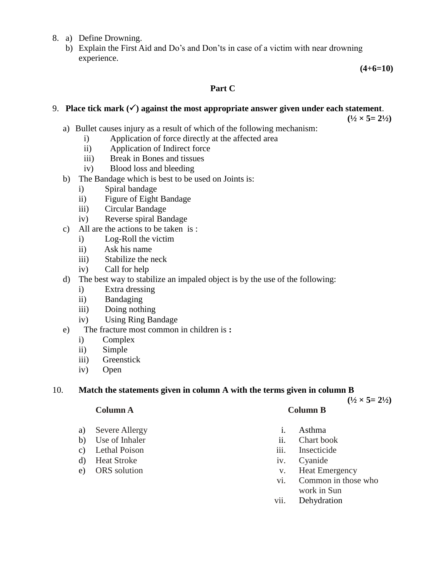#### 8. a) Define Drowning.

b) Explain the First Aid and Do's and Don'ts in case of a victim with near drowning experience.

**(4+6=10)**

#### **Part C**

#### 9. Place tick mark  $(\checkmark)$  against the most appropriate answer given under each statement.

 $(\frac{1}{2} \times 5 = 2\frac{1}{2})$ 

- a) Bullet causes injury as a result of which of the following mechanism:
	- i) Application of force directly at the affected area
	- ii) Application of Indirect force
	- iii) Break in Bones and tissues
	- iv) Blood loss and bleeding
- b) The Bandage which is best to be used on Joints is:
	- i) Spiral bandage
	- ii) Figure of Eight Bandage
	- iii) Circular Bandage
	- iv) Reverse spiral Bandage
- c) All are the actions to be taken is :
	- i) Log-Roll the victim
	- ii) Ask his name
	- iii) Stabilize the neck
	- iv) Call for help
- d) The best way to stabilize an impaled object is by the use of the following:
	- i) Extra dressing
	- ii) Bandaging
	- iii) Doing nothing
	- iv) Using Ring Bandage
- e) The fracture most common in children is **:**
	- i) Complex
	- ii) Simple
	- iii) Greenstick
	- iv) Open

#### 10. **Match the statements given in column A with the terms given in column B**

 $(\frac{1}{2} \times 5 = 2\frac{1}{2})$ 

- a) Severe Allergy i. Asthma
- b) Use of Inhaler ii. Chart book
- c) Lethal Poison iii. Insecticide
- d) Heat Stroke iv. Cyanide
- 

#### **Column A Column B**

- 
- 
- 
- 
- e) ORS solution v. Heat Emergency
	- vi. Common in those who work in Sun
	- vii. Dehydration